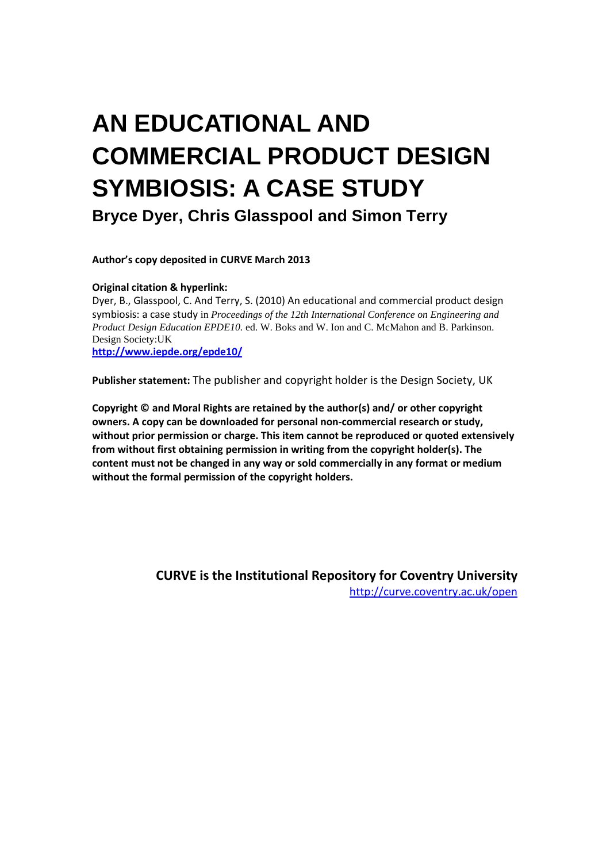# **AN EDUCATIONAL AND COMMERCIAL PRODUCT DESIGN SYMBIOSIS: A CASE STUDY Bryce Dyer, Chris Glasspool and Simon Terry**

**Author's copy deposited in CURVE March 2013**

#### **Original citation & hyperlink:**

Dyer, B., Glasspool, C. And Terry, S. (2010) An educational and commercial product design symbiosis: a case study in *Proceedings of the 12th International Conference on Engineering and Product Design Education EPDE10.* ed. W. Boks and W. Ion and C. McMahon and B. Parkinson. Design Society:UK

**<http://www.iepde.org/epde10/>**

**Publisher statement:** The publisher and copyright holder is the Design Society, UK

**Copyright © and Moral Rights are retained by the author(s) and/ or other copyright owners. A copy can be downloaded for personal non-commercial research or study, without prior permission or charge. This item cannot be reproduced or quoted extensively from without first obtaining permission in writing from the copyright holder(s). The content must not be changed in any way or sold commercially in any format or medium without the formal permission of the copyright holders.** 

> **CURVE is the Institutional Repository for Coventry University** <http://curve.coventry.ac.uk/open>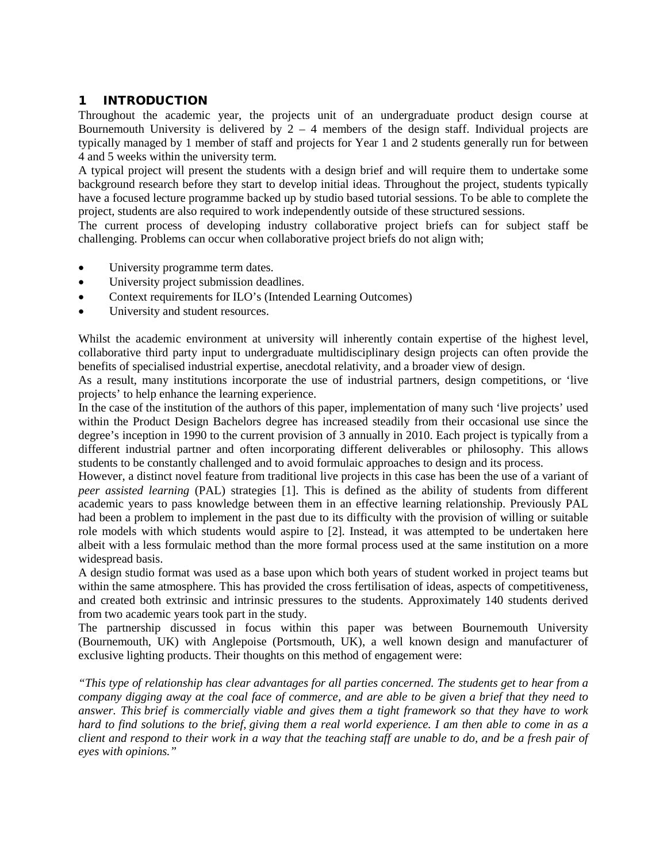## 1 INTRODUCTION

Throughout the academic year, the projects unit of an undergraduate product design course at Bournemouth University is delivered by  $2 - 4$  members of the design staff. Individual projects are typically managed by 1 member of staff and projects for Year 1 and 2 students generally run for between 4 and 5 weeks within the university term.

A typical project will present the students with a design brief and will require them to undertake some background research before they start to develop initial ideas. Throughout the project, students typically have a focused lecture programme backed up by studio based tutorial sessions. To be able to complete the project, students are also required to work independently outside of these structured sessions.

The current process of developing industry collaborative project briefs can for subject staff be challenging. Problems can occur when collaborative project briefs do not align with;

- University programme term dates.
- University project submission deadlines.
- Context requirements for ILO's (Intended Learning Outcomes)
- University and student resources.

Whilst the academic environment at university will inherently contain expertise of the highest level, collaborative third party input to undergraduate multidisciplinary design projects can often provide the benefits of specialised industrial expertise, anecdotal relativity, and a broader view of design.

As a result, many institutions incorporate the use of industrial partners, design competitions, or 'live projects' to help enhance the learning experience.

In the case of the institution of the authors of this paper, implementation of many such 'live projects' used within the Product Design Bachelors degree has increased steadily from their occasional use since the degree's inception in 1990 to the current provision of 3 annually in 2010. Each project is typically from a different industrial partner and often incorporating different deliverables or philosophy. This allows students to be constantly challenged and to avoid formulaic approaches to design and its process.

However, a distinct novel feature from traditional live projects in this case has been the use of a variant of *peer assisted learning* (PAL) strategies [1]. This is defined as the ability of students from different academic years to pass knowledge between them in an effective learning relationship. Previously PAL had been a problem to implement in the past due to its difficulty with the provision of willing or suitable role models with which students would aspire to [2]. Instead, it was attempted to be undertaken here albeit with a less formulaic method than the more formal process used at the same institution on a more widespread basis.

A design studio format was used as a base upon which both years of student worked in project teams but within the same atmosphere. This has provided the cross fertilisation of ideas, aspects of competitiveness, and created both extrinsic and intrinsic pressures to the students. Approximately 140 students derived from two academic years took part in the study.

The partnership discussed in focus within this paper was between Bournemouth University (Bournemouth, UK) with Anglepoise (Portsmouth, UK), a well known design and manufacturer of exclusive lighting products. Their thoughts on this method of engagement were:

*"This type of relationship has clear advantages for all parties concerned. The students get to hear from a company digging away at the coal face of commerce, and are able to be given a brief that they need to answer. This brief is commercially viable and gives them a tight framework so that they have to work hard to find solutions to the brief, giving them a real world experience. I am then able to come in as a client and respond to their work in a way that the teaching staff are unable to do, and be a fresh pair of eyes with opinions."*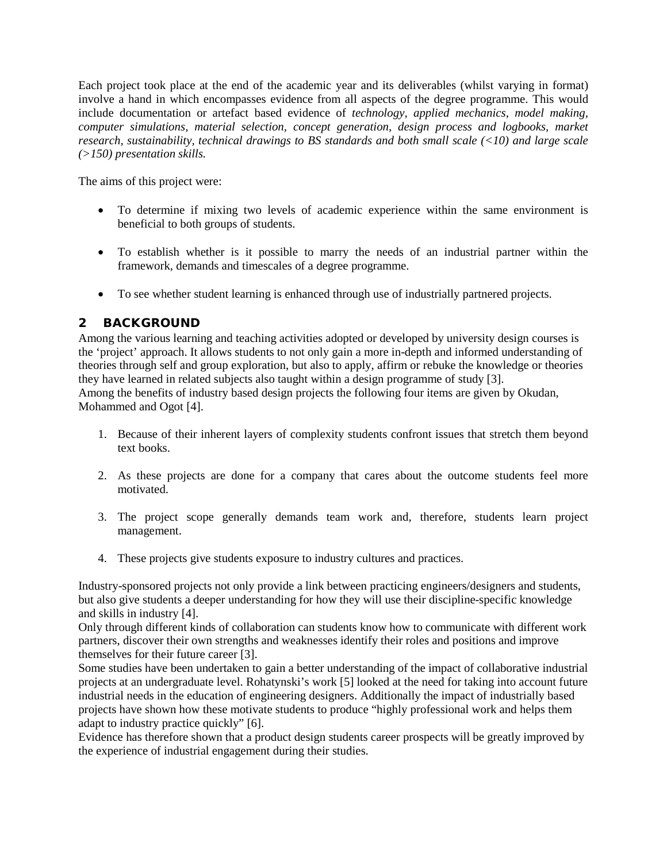Each project took place at the end of the academic year and its deliverables (whilst varying in format) involve a hand in which encompasses evidence from all aspects of the degree programme. This would include documentation or artefact based evidence of *technology, applied mechanics, model making, computer simulations, material selection, concept generation, design process and logbooks, market research, sustainability, technical drawings to BS standards and both small scale (<10) and large scale (>150) presentation skills.*

The aims of this project were:

- To determine if mixing two levels of academic experience within the same environment is beneficial to both groups of students.
- To establish whether is it possible to marry the needs of an industrial partner within the framework, demands and timescales of a degree programme.
- To see whether student learning is enhanced through use of industrially partnered projects.

# 2 BACKGROUND

Among the various learning and teaching activities adopted or developed by university design courses is the 'project' approach. It allows students to not only gain a more in-depth and informed understanding of theories through self and group exploration, but also to apply, affirm or rebuke the knowledge or theories they have learned in related subjects also taught within a design programme of study [3]. Among the benefits of industry based design projects the following four items are given by Okudan, Mohammed and Ogot [4].

- 1. Because of their inherent layers of complexity students confront issues that stretch them beyond text books.
- 2. As these projects are done for a company that cares about the outcome students feel more motivated.
- 3. The project scope generally demands team work and, therefore, students learn project management.
- 4. These projects give students exposure to industry cultures and practices.

Industry-sponsored projects not only provide a link between practicing engineers/designers and students, but also give students a deeper understanding for how they will use their discipline-specific knowledge and skills in industry [4].

Only through different kinds of collaboration can students know how to communicate with different work partners, discover their own strengths and weaknesses identify their roles and positions and improve themselves for their future career [3].

Some studies have been undertaken to gain a better understanding of the impact of collaborative industrial projects at an undergraduate level. Rohatynski's work [5] looked at the need for taking into account future industrial needs in the education of engineering designers. Additionally the impact of industrially based projects have shown how these motivate students to produce "highly professional work and helps them adapt to industry practice quickly" [6].

Evidence has therefore shown that a product design students career prospects will be greatly improved by the experience of industrial engagement during their studies.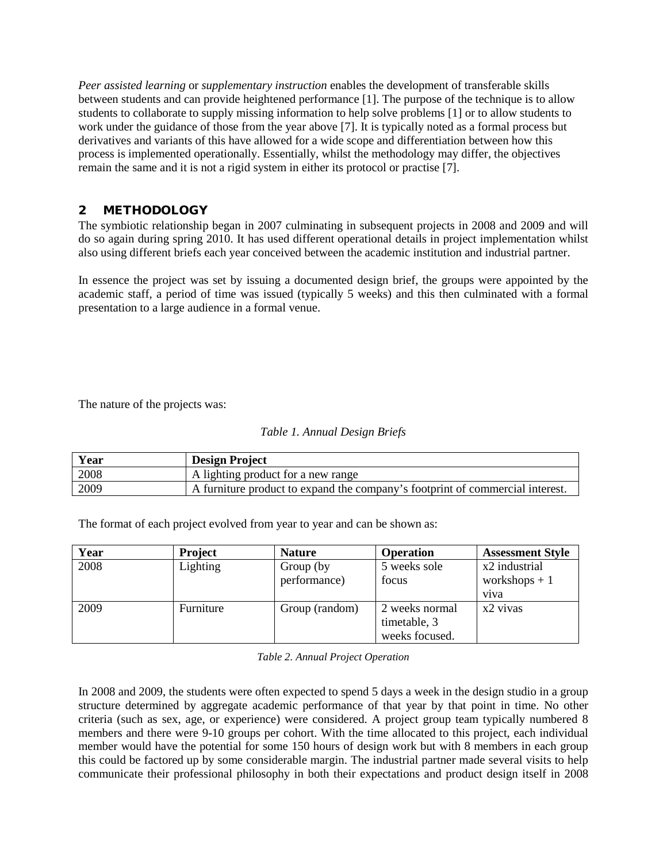*Peer assisted learning* or *supplementary instruction* enables the development of transferable skills between students and can provide heightened performance [1]. The purpose of the technique is to allow students to collaborate to supply missing information to help solve problems [1] or to allow students to work under the guidance of those from the year above [7]. It is typically noted as a formal process but derivatives and variants of this have allowed for a wide scope and differentiation between how this process is implemented operationally. Essentially, whilst the methodology may differ, the objectives remain the same and it is not a rigid system in either its protocol or practise [7].

## 2 METHODOLOGY

The symbiotic relationship began in 2007 culminating in subsequent projects in 2008 and 2009 and will do so again during spring 2010. It has used different operational details in project implementation whilst also using different briefs each year conceived between the academic institution and industrial partner.

In essence the project was set by issuing a documented design brief, the groups were appointed by the academic staff, a period of time was issued (typically 5 weeks) and this then culminated with a formal presentation to a large audience in a formal venue.

The nature of the projects was:

| Year | <b>Design Project</b>                                                         |
|------|-------------------------------------------------------------------------------|
| 2008 | A lighting product for a new range                                            |
| 2009 | A furniture product to expand the company's footprint of commercial interest. |

The format of each project evolved from year to year and can be shown as:

| Year | <b>Project</b> | <b>Nature</b>  | <b>Operation</b> | <b>Assessment Style</b> |
|------|----------------|----------------|------------------|-------------------------|
| 2008 | Lighting       | Group (by      | 5 weeks sole     | x2 industrial           |
|      |                | performance)   | focus            | workshops $+1$          |
|      |                |                |                  | v <sub>1</sub> va       |
| 2009 | Furniture      | Group (random) | 2 weeks normal   | x2 vivas                |
|      |                |                | timetable, 3     |                         |
|      |                |                | weeks focused.   |                         |

*Table 2. Annual Project Operation*

In 2008 and 2009, the students were often expected to spend 5 days a week in the design studio in a group structure determined by aggregate academic performance of that year by that point in time. No other criteria (such as sex, age, or experience) were considered. A project group team typically numbered 8 members and there were 9-10 groups per cohort. With the time allocated to this project, each individual member would have the potential for some 150 hours of design work but with 8 members in each group this could be factored up by some considerable margin. The industrial partner made several visits to help communicate their professional philosophy in both their expectations and product design itself in 2008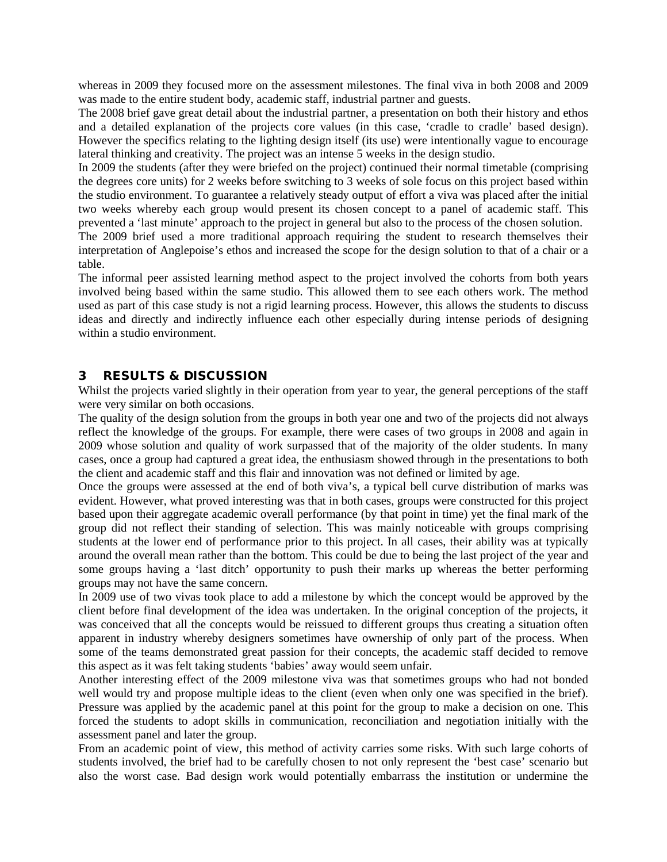whereas in 2009 they focused more on the assessment milestones. The final viva in both 2008 and 2009 was made to the entire student body, academic staff, industrial partner and guests.

The 2008 brief gave great detail about the industrial partner, a presentation on both their history and ethos and a detailed explanation of the projects core values (in this case, 'cradle to cradle' based design). However the specifics relating to the lighting design itself (its use) were intentionally vague to encourage lateral thinking and creativity. The project was an intense 5 weeks in the design studio.

In 2009 the students (after they were briefed on the project) continued their normal timetable (comprising the degrees core units) for 2 weeks before switching to 3 weeks of sole focus on this project based within the studio environment. To guarantee a relatively steady output of effort a viva was placed after the initial two weeks whereby each group would present its chosen concept to a panel of academic staff. This prevented a 'last minute' approach to the project in general but also to the process of the chosen solution.

The 2009 brief used a more traditional approach requiring the student to research themselves their interpretation of Anglepoise's ethos and increased the scope for the design solution to that of a chair or a table.

The informal peer assisted learning method aspect to the project involved the cohorts from both years involved being based within the same studio. This allowed them to see each others work. The method used as part of this case study is not a rigid learning process. However, this allows the students to discuss ideas and directly and indirectly influence each other especially during intense periods of designing within a studio environment.

### 3 RESULTS & DISCUSSION

Whilst the projects varied slightly in their operation from year to year, the general perceptions of the staff were very similar on both occasions.

The quality of the design solution from the groups in both year one and two of the projects did not always reflect the knowledge of the groups. For example, there were cases of two groups in 2008 and again in 2009 whose solution and quality of work surpassed that of the majority of the older students. In many cases, once a group had captured a great idea, the enthusiasm showed through in the presentations to both the client and academic staff and this flair and innovation was not defined or limited by age.

Once the groups were assessed at the end of both viva's, a typical bell curve distribution of marks was evident. However, what proved interesting was that in both cases, groups were constructed for this project based upon their aggregate academic overall performance (by that point in time) yet the final mark of the group did not reflect their standing of selection. This was mainly noticeable with groups comprising students at the lower end of performance prior to this project. In all cases, their ability was at typically around the overall mean rather than the bottom. This could be due to being the last project of the year and some groups having a 'last ditch' opportunity to push their marks up whereas the better performing groups may not have the same concern.

In 2009 use of two vivas took place to add a milestone by which the concept would be approved by the client before final development of the idea was undertaken. In the original conception of the projects, it was conceived that all the concepts would be reissued to different groups thus creating a situation often apparent in industry whereby designers sometimes have ownership of only part of the process. When some of the teams demonstrated great passion for their concepts, the academic staff decided to remove this aspect as it was felt taking students 'babies' away would seem unfair.

Another interesting effect of the 2009 milestone viva was that sometimes groups who had not bonded well would try and propose multiple ideas to the client (even when only one was specified in the brief). Pressure was applied by the academic panel at this point for the group to make a decision on one. This forced the students to adopt skills in communication, reconciliation and negotiation initially with the assessment panel and later the group.

From an academic point of view, this method of activity carries some risks. With such large cohorts of students involved, the brief had to be carefully chosen to not only represent the 'best case' scenario but also the worst case. Bad design work would potentially embarrass the institution or undermine the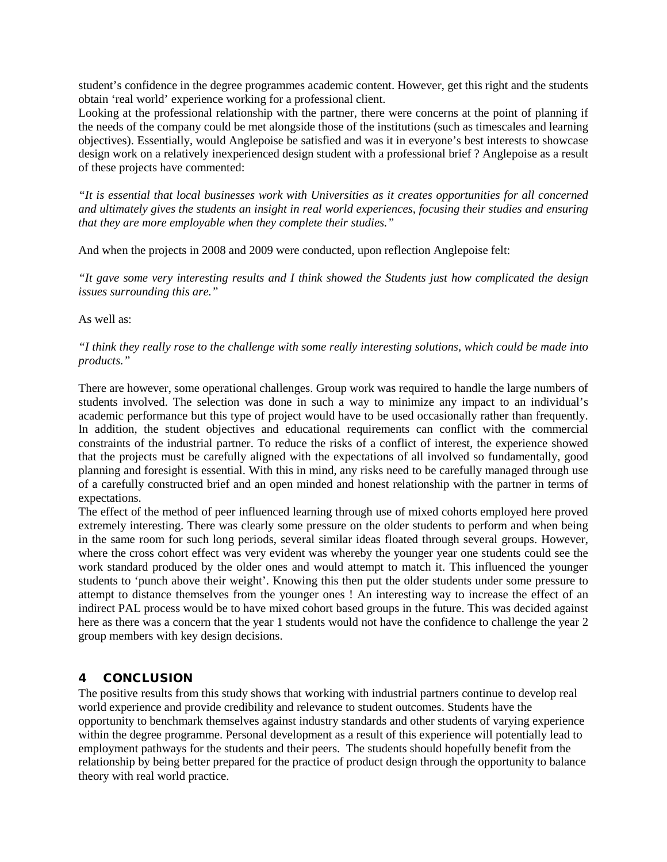student's confidence in the degree programmes academic content. However, get this right and the students obtain 'real world' experience working for a professional client.

Looking at the professional relationship with the partner, there were concerns at the point of planning if the needs of the company could be met alongside those of the institutions (such as timescales and learning objectives). Essentially, would Anglepoise be satisfied and was it in everyone's best interests to showcase design work on a relatively inexperienced design student with a professional brief ? Anglepoise as a result of these projects have commented:

*"It is essential that local businesses work with Universities as it creates opportunities for all concerned and ultimately gives the students an insight in real world experiences, focusing their studies and ensuring that they are more employable when they complete their studies."*

And when the projects in 2008 and 2009 were conducted, upon reflection Anglepoise felt:

*"It gave some very interesting results and I think showed the Students just how complicated the design issues surrounding this are."*

As well as:

#### *"I think they really rose to the challenge with some really interesting solutions, which could be made into products."*

There are however, some operational challenges. Group work was required to handle the large numbers of students involved. The selection was done in such a way to minimize any impact to an individual's academic performance but this type of project would have to be used occasionally rather than frequently. In addition, the student objectives and educational requirements can conflict with the commercial constraints of the industrial partner. To reduce the risks of a conflict of interest, the experience showed that the projects must be carefully aligned with the expectations of all involved so fundamentally, good planning and foresight is essential. With this in mind, any risks need to be carefully managed through use of a carefully constructed brief and an open minded and honest relationship with the partner in terms of expectations.

The effect of the method of peer influenced learning through use of mixed cohorts employed here proved extremely interesting. There was clearly some pressure on the older students to perform and when being in the same room for such long periods, several similar ideas floated through several groups. However, where the cross cohort effect was very evident was whereby the younger year one students could see the work standard produced by the older ones and would attempt to match it. This influenced the younger students to 'punch above their weight'. Knowing this then put the older students under some pressure to attempt to distance themselves from the younger ones ! An interesting way to increase the effect of an indirect PAL process would be to have mixed cohort based groups in the future. This was decided against here as there was a concern that the year 1 students would not have the confidence to challenge the year 2 group members with key design decisions.

# 4 CONCLUSION

The positive results from this study shows that working with industrial partners continue to develop real world experience and provide credibility and relevance to student outcomes. Students have the opportunity to benchmark themselves against industry standards and other students of varying experience within the degree programme. Personal development as a result of this experience will potentially lead to employment pathways for the students and their peers. The students should hopefully benefit from the relationship by being better prepared for the practice of product design through the opportunity to balance theory with real world practice.